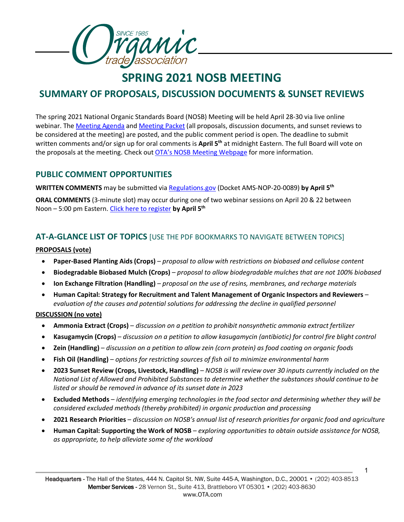

# **SPRING 2021 NOSB MEETING**

# **SUMMARY OF PROPOSALS, DISCUSSION DOCUMENTS & SUNSET REVIEWS**

The spring 2021 National Organic Standards Board (NOSB) Meeting will be held April 28-30 via live online webinar. The [Meeting Agenda](https://www.ams.usda.gov/sites/default/files/media/NOSBSimplifiedAgenda2021April.pdf) an[d Meeting Packet](https://www.ams.usda.gov/sites/default/files/media/NOSBProposalPacketApril2021.pdf) (all proposals, discussion documents, and sunset reviews to be considered at the meeting) are posted, and the public comment period is open. The deadline to submit written comments and/or sign up for oral comments is **April 5th** at midnight Eastern. The full Board will vote on the proposals at the meeting. Check out **[OTA's NOSB Meeting Webpage](https://ota.com/advocacy/organic-standards/national-organic-standards-board/nosb-spring-2021-meeting)** for more information.

### **PUBLIC COMMENT OPPORTUNITIES**

**WRITTEN COMMENTS** may be submitted via [Regulations.gov](https://www.regulations.gov/search?filter=ams-nop-20-0089) (Docket AMS-NOP-20-0089) by April 5<sup>th</sup>

**ORAL COMMENTS** (3-minute slot) may occur during one of two webinar sessions on April 20 & 22 between Noon – 5:00 pm Eastern. [Click here to register](https://www.ams.usda.gov/event/national-organic-standards-board-nosb-meeting-crystal-city-va-0#Form) **by April 5th**

### **AT-A-GLANCE LIST OF TOPICS** [USE THE PDF BOOKMARKS TO NAVIGATE BETWEEN TOPICS]

#### **PROPOSALS (vote)**

- **Paper-Based Planting Aids (Crops)** *– proposal to allow with restrictions on biobased and cellulose content*
- **Biodegradable Biobased Mulch (Crops)** *– proposal to allow biodegradable mulches that are not 100% biobased*
- **Ion Exchange Filtration (Handling)** *– proposal on the use of resins, membranes, and recharge materials*
- **Human Capital: Strategy for Recruitment and Talent Management of Organic Inspectors and Reviewers** *– evaluation of the causes and potential solutions for addressing the decline in qualified personnel*

### **DISCUSSION (no vote)**

- **Ammonia Extract (Crops)** *discussion on a petition to prohibit nonsynthetic ammonia extract fertilizer*
- **Kasugamycin (Crops)** *discussion on a petition to allow kasugamycin (antibiotic) for control fire blight control*
- **Zein (Handling)** *discussion on a petition to allow zein (corn protein) as food coating on organic foods*
- **Fish Oil (Handling)** *options for restricting sources of fish oil to minimize environmental harm*
- **2023 Sunset Review (Crops, Livestock, Handling)** *– NOSB is will review over 30 inputs currently included on the National List of Allowed and Prohibited Substances to determine whether the substances should continue to be listed or should be removed in advance of its sunset date in 2023*
- **Excluded Methods** *identifying emerging technologies in the food sector and determining whether they will be considered excluded methods (thereby prohibited) in organic production and processing*
- **2021 Research Priorities** *discussion on NOSB's annual list of research priorities for organic food and agriculture*
- **Human Capital: Supporting the Work of NOSB** *exploring opportunities to obtain outside assistance for NOSB, as appropriate, to help alleviate some of the workload*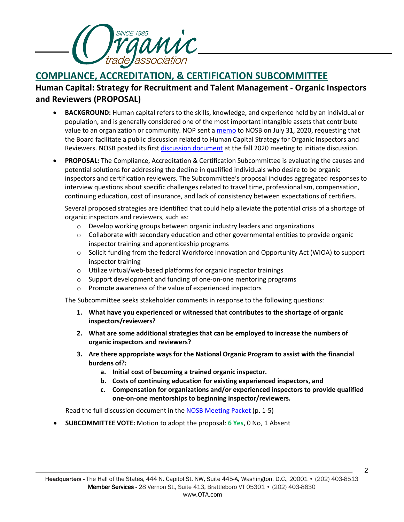

# **COMPLIANCE, ACCREDITATION, & CERTIFICATION SUBCOMMITTEE**

### **Human Capital: Strategy for Recruitment and Talent Management - Organic Inspectors and Reviewers (PROPOSAL)**

- **BACKGROUND:** Human capital refers to the skills, knowledge, and experience held by an individual or population, and is generally considered one of the most important intangible assets that contribute value to an organization or community. NOP sent a [memo](https://www.ams.usda.gov/sites/default/files/media/NOP_NOSB_Human_Capital.pdf) to NOSB on July 31, 2020, requesting that the Board facilitate a public discussion related to Human Capital Strategy for Organic Inspectors and Reviewers. NOSB posted its first [discussion document](https://www.ams.usda.gov/sites/default/files/media/CACSHumanCapitalMgmnt.pdf) at the fall 2020 meeting to initiate discussion.
- **PROPOSAL:** The Compliance, Accreditation & Certification Subcommittee is evaluating the causes and potential solutions for addressing the decline in qualified individuals who desire to be organic inspectors and certification reviewers. The Subcommittee's proposal includes aggregated responses to interview questions about specific challenges related to travel time, professionalism, compensation, continuing education, cost of insurance, and lack of consistency between expectations of certifiers.

Several proposed strategies are identified that could help alleviate the potential crisis of a shortage of organic inspectors and reviewers, such as:

- $\circ$  Develop working groups between organic industry leaders and organizations
- $\circ$  Collaborate with secondary education and other governmental entities to provide organic inspector training and apprenticeship programs
- o Solicit funding from the federal Workforce Innovation and Opportunity Act (WIOA) to support inspector training
- o Utilize virtual/web-based platforms for organic inspector trainings
- o Support development and funding of one-on-one mentoring programs
- o Promote awareness of the value of experienced inspectors

The Subcommittee seeks stakeholder comments in response to the following questions:

- **1. What have you experienced or witnessed that contributes to the shortage of organic inspectors/reviewers?**
- **2. What are some additional strategies that can be employed to increase the numbers of organic inspectors and reviewers?**
- **3. Are there appropriate ways for the National Organic Program to assist with the financial burdens of?:**
	- **a. Initial cost of becoming a trained organic inspector.**
	- **b. Costs of continuing education for existing experienced inspectors, and**
	- **c. Compensation for organizations and/or experienced inspectors to provide qualified one-on-one mentorships to beginning inspector/reviewers.**

Read the full discussion document in th[e NOSB Meeting Packet](https://www.ams.usda.gov/sites/default/files/media/NOSBProposalPacketApril2021.pdf) (p. 1-5)

• **SUBCOMMITTEE VOTE:** Motion to adopt the proposal: **6 Yes**, 0 No, 1 Absent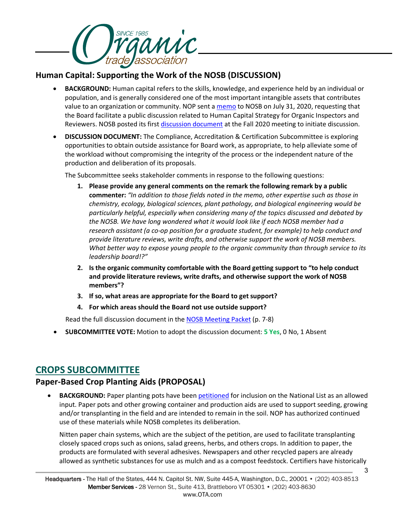

### **Human Capital: Supporting the Work of the NOSB (DISCUSSION)**

- **BACKGROUND:** Human capital refers to the skills, knowledge, and experience held by an individual or population, and is generally considered one of the most important intangible assets that contributes value to an organization or community. NOP sent a [memo](https://www.ams.usda.gov/sites/default/files/media/NOP_NOSB_Human_Capital.pdf) to NOSB on July 31, 2020, requesting that the Board facilitate a public discussion related to Human Capital Strategy for Organic Inspectors and Reviewers. NOSB posted its first [discussion document](https://www.ams.usda.gov/sites/default/files/media/CACSHumanCapitalMgmnt.pdf) at the Fall 2020 meeting to initiate discussion.
- **DISCUSSION DOCUMENT:** The Compliance, Accreditation & Certification Subcommittee is exploring opportunities to obtain outside assistance for Board work, as appropriate, to help alleviate some of the workload without compromising the integrity of the process or the independent nature of the production and deliberation of its proposals.

The Subcommittee seeks stakeholder comments in response to the following questions:

- **1. Please provide any general comments on the remark the following remark by a public commenter:** *"In addition to those fields noted in the memo, other expertise such as those in chemistry, ecology, biological sciences, plant pathology, and biological engineering would be particularly helpful, especially when considering many of the topics discussed and debated by the NOSB. We have long wondered what it would look like if each NOSB member had a research assistant (a co-op position for a graduate student, for example) to help conduct and provide literature reviews, write drafts, and otherwise support the work of NOSB members. What better way to expose young people to the organic community than through service to its leadership board!?"*
- **2. Is the organic community comfortable with the Board getting support to "to help conduct and provide literature reviews, write drafts, and otherwise support the work of NOSB members"?**
- **3. If so, what areas are appropriate for the Board to get support?**
- **4. For which areas should the Board not use outside support?**

Read the full discussion document in th[e NOSB Meeting Packet](https://www.ams.usda.gov/sites/default/files/media/NOSBProposalPacketApril2021.pdf) (p. 7-8)

• **SUBCOMMITTEE VOTE:** Motion to adopt the discussion document: **5 Yes**, 0 No, 1 Absent

### **CROPS SUBCOMMITTEE**

### **Paper-Based Crop Planting Aids (PROPOSAL)**

• **BACKGROUND:** Paper planting pots have bee[n petitioned](https://www.ams.usda.gov/sites/default/files/media/PaperPotorContainerPetition080718.pdf) for inclusion on the National List as an allowed input. Paper pots and other growing container and production aids are used to support seeding, growing and/or transplanting in the field and are intended to remain in the soil. NOP has authorized continued use of these materials while NOSB completes its deliberation.

Nitten paper chain systems, which are the subject of the petition, are used to facilitate transplanting closely spaced crops such as onions, salad greens, herbs, and others crops. In addition to paper, the products are formulated with several adhesives. Newspapers and other recycled papers are already allowed as synthetic substances for use as mulch and as a compost feedstock. Certifiers have historically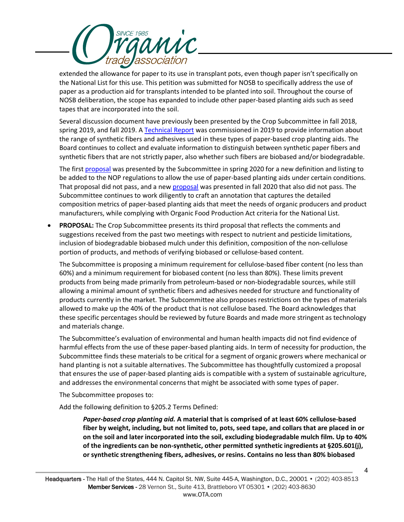

extended the allowance for paper to its use in transplant pots, even though paper isn't specifically on the National List for this use. This petition was submitted for NOSB to specifically address the use of paper as a production aid for transplants intended to be planted into soil. Throughout the course of NOSB deliberation, the scope has expanded to include other paper-based planting aids such as seed tapes that are incorporated into the soil.

Several discussion document have previously been presented by the Crop Subcommittee in fall 2018, spring 2019, and fall 2019. A [Technical Report](https://www.ams.usda.gov/sites/default/files/media/PaperTRFinal7262019.pdf) was commissioned in 2019 to provide information about the range of synthetic fibers and adhesives used in these types of paper-based crop planting aids. The Board continues to collect and evaluate information to distinguish between synthetic paper fibers and synthetic fibers that are not strictly paper, also whether such fibers are biobased and/or biodegradable.

The first [proposal](https://www.ams.usda.gov/sites/default/files/media/CSPaperPotsProposal_April2020.pdf) was presented by the Subcommittee in spring 2020 for a new definition and listing to be added to the NOP regulations to allow the use of paper-based planting aids under certain conditions. That [proposal](https://www.ams.usda.gov/sites/default/files/media/CSPaperBasedCropPlantingAids.pdf) did not pass, and a new proposal was presented in fall 2020 that also did not pass. The Subcommittee continues to work diligently to craft an annotation that captures the detailed composition metrics of paper-based planting aids that meet the needs of organic producers and product manufacturers, while complying with Organic Food Production Act criteria for the National List.

• **PROPOSAL:** The Crop Subcommittee presents its third proposal that reflects the comments and suggestions received from the past two meetings with respect to nutrient and pesticide limitations, inclusion of biodegradable biobased mulch under this definition, composition of the non-cellulose portion of products, and methods of verifying biobased or cellulose-based content.

The Subcommittee is proposing a minimum requirement for cellulose-based fiber content (no less than 60%) and a minimum requirement for biobased content (no less than 80%). These limits prevent products from being made primarily from petroleum-based or non-biodegradable sources, while still allowing a minimal amount of synthetic fibers and adhesives needed for structure and functionality of products currently in the market. The Subcommittee also proposes restrictions on the types of materials allowed to make up the 40% of the product that is not cellulose based. The Board acknowledges that these specific percentages should be reviewed by future Boards and made more stringent as technology and materials change.

The Subcommittee's evaluation of environmental and human health impacts did not find evidence of harmful effects from the use of these paper-based planting aids. In term of necessity for production, the Subcommittee finds these materials to be critical for a segment of organic growers where mechanical or hand planting is not a suitable alternatives. The Subcommittee has thoughtfully customized a proposal that ensures the use of paper-based planting aids is compatible with a system of sustainable agriculture, and addresses the environmental concerns that might be associated with some types of paper.

The Subcommittee proposes to:

Add the following definition to §205.2 Terms Defined:

*Paper-based crop planting aid.* **A material that is comprised of at least 60% cellulose-based fiber by weight, including, but not limited to, pots, seed tape, and collars that are placed in or on the soil and later incorporated into the soil, excluding biodegradable mulch film. Up to 40% of the ingredients can be non-synthetic, other permitted synthetic ingredients at §205.601(j), or synthetic strengthening fibers, adhesives, or resins. Contains no less than 80% biobased**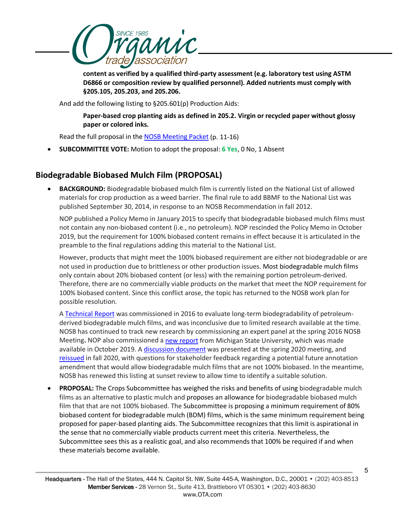

**content as verified by a qualified third-party assessment (e.g. laboratory test using ASTM D6866 or composition review by qualified personnel). Added nutrients must comply with §205.105, 205.203, and 205.206.**

And add the following listing to §205.601(p) Production Aids:

**Paper-based crop planting aids as defined in 205.2. Virgin or recycled paper without glossy paper or colored inks.**

Read the full proposal in the [NOSB Meeting Packet](https://www.ams.usda.gov/sites/default/files/media/NOSBProposalPacketApril2021.pdf) (p. 11-16)

• **SUBCOMMITTEE VOTE:** Motion to adopt the proposal: **6 Yes**, 0 No, 1 Absent

### **Biodegradable Biobased Mulch Film (PROPOSAL)**

• **BACKGROUND:** Biodegradable biobased mulch film is currently listed on the National List of allowed materials for crop production as a weed barrier. The final rule to add BBMF to the National List was published September 30, 2014, in response to an NOSB Recommendation in fall 2012.

NOP published a Policy Memo in January 2015 to specify that biodegradable biobased mulch films must not contain any non-biobased content (i.e., no petroleum). NOP rescinded the Policy Memo in October 2019, but the requirement for 100% biobased content remains in effect because it is articulated in the preamble to the final regulations adding this material to the National List.

However, products that might meet the 100% biobased requirement are either not biodegradable or are not used in production due to brittleness or other production issues. Most biodegradable mulch films only contain about 20% biobased content (or less) with the remaining portion petroleum-derived. Therefore, there are no commercially viable products on the market that meet the NOP requirement for 100% biobased content. Since this conflict arose, the topic has returned to the NOSB work plan for possible resolution.

A [Technical Report](https://www.ams.usda.gov/sites/default/files/media/BiodegradableBiobasedMulchFilmTRCrops.pdf) was commissioned in 2016 to evaluate long-term biodegradability of petroleumderived biodegradable mulch films, and was inconclusive due to limited research available at the time. NOSB has continued to track new research by commissioning an expert panel at the spring 2016 NOSB Meeting**.** NOP also commissioned [a new report](https://www.ams.usda.gov/sites/default/files/media/2019MemoBiobasedMulchReport.pdf) from Michigan State University, which was made available in October 2019. A [discussion document](https://www.ams.usda.gov/sites/default/files/media/CSBiodegradBiobasedMulchApril2020.pdf) was presented at the spring 2020 meeting, and [reissued](https://www.ams.usda.gov/sites/default/files/media/CSBiodegradableBiobasedMulchFilm.pdf) in fall 2020, with questions for stakeholder feedback regarding a potential future annotation amendment that would allow biodegradable mulch films that are not 100% biobased. In the meantime, NOSB has renewed this listing at sunset review to allow time to identify a suitable solution.

• **PROPOSAL:** The Crops Subcommittee has weighed the risks and benefits of using biodegradable mulch films as an alternative to plastic mulch and proposes an allowance for biodegradable biobased mulch film that that are not 100% biobased. The Subcommittee is proposing a minimum requirement of 80% biobased content for biodegradable mulch (BDM) films, which is the same minimum requirement being proposed for paper-based planting aids. The Subcommittee recognizes that this limit is aspirational in the sense that no commercially viable products current meet this criteria. Nevertheless, the Subcommittee sees this as a realistic goal, and also recommends that 100% be required if and when these materials become available.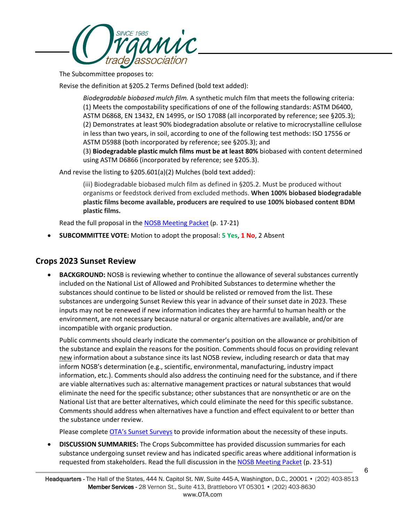

The Subcommittee proposes to:

Revise the definition at §205.2 Terms Defined (bold text added):

*Biodegradable biobased mulch film.* A synthetic mulch film that meets the following criteria: (1) Meets the compostability specifications of one of the following standards: ASTM D6400, ASTM D6868, EN 13432, EN 14995, or ISO 17088 (all incorporated by reference; see §205.3); (2) Demonstrates at least 90% biodegradation absolute or relative to microcrystalline cellulose in less than two years, in soil, according to one of the following test methods: ISO 17556 or ASTM D5988 (both incorporated by reference; see §205.3); and (3) **Biodegradable plastic mulch films must be at least 80%** biobased with content determined

using ASTM D6866 (incorporated by reference; see §205.3).

And revise the listing to §205.601(a)(2) Mulches (bold text added):

(iii) Biodegradable biobased mulch film as defined in §205.2. Must be produced without organisms or feedstock derived from excluded methods. **When 100% biobased biodegradable plastic films become available, producers are required to use 100% biobased content BDM plastic films.**

Read the full proposal in the [NOSB Meeting Packet](https://www.ams.usda.gov/sites/default/files/media/NOSBProposalPacketApril2021.pdf) (p. 17-21)

• **SUBCOMMITTEE VOTE:** Motion to adopt the proposal: **5 Yes**, **1 No**, 2 Absent

### **Crops 2023 Sunset Review**

• **BACKGROUND:** NOSB is reviewing whether to continue the allowance of several substances currently included on the National List of Allowed and Prohibited Substances to determine whether the substances should continue to be listed or should be relisted or removed from the list. These substances are undergoing Sunset Review this year in advance of their sunset date in 2023. These inputs may not be renewed if new information indicates they are harmful to human health or the environment, are not necessary because natural or organic alternatives are available, and/or are incompatible with organic production.

Public comments should clearly indicate the commenter's position on the allowance or prohibition of the substance and explain the reasons for the position. Comments should focus on providing relevant new information about a substance since its last NOSB review, including research or data that may inform NOSB's determination (e.g., scientific, environmental, manufacturing, industry impact information, etc.). Comments should also address the continuing need for the substance, and if there are viable alternatives such as: alternative management practices or natural substances that would eliminate the need for the specific substance; other substances that are nonsynthetic or are on the National List that are better alternatives, which could eliminate the need for this specific substance. Comments should address when alternatives have a function and effect equivalent to or better than the substance under review.

Please complete [OTA's Sunset Surveys](https://ota.com/advocacy/organic-standards/national-organic-standards-board/nosb-spring-2021-meeting) to provide information about the necessity of these inputs.

• **DISCUSSION SUMMARIES:** The Crops Subcommittee has provided discussion summaries for each substance undergoing sunset review and has indicated specific areas where additional information is requested from stakeholders. Read the full discussion in the [NOSB Meeting Packet](https://www.ams.usda.gov/sites/default/files/media/NOSBProposalPacketApril2021.pdf) (p. 23-51)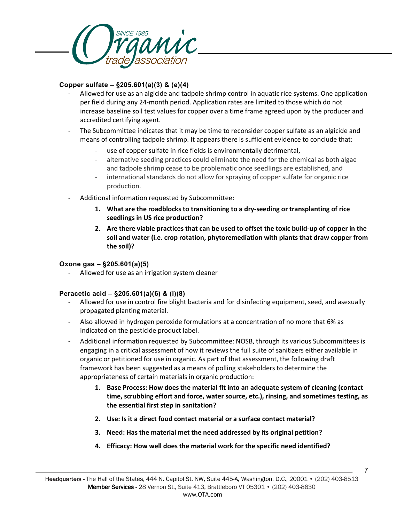

#### **Copper sulfate – §205.601(a)(3) & (e)(4)**

- Allowed for use as an algicide and tadpole shrimp control in aquatic rice systems. One application per field during any 24-month period. Application rates are limited to those which do not increase baseline soil test values for copper over a time frame agreed upon by the producer and accredited certifying agent.
- The Subcommittee indicates that it may be time to reconsider copper sulfate as an algicide and means of controlling tadpole shrimp. It appears there is sufficient evidence to conclude that:
	- use of copper sulfate in rice fields is environmentally detrimental,
	- alternative seeding practices could eliminate the need for the chemical as both algae and tadpole shrimp cease to be problematic once seedlings are established, and
	- international standards do not allow for spraying of copper sulfate for organic rice production.
- Additional information requested by Subcommittee:
	- **1. What are the roadblocks to transitioning to a dry-seeding or transplanting of rice seedlings in US rice production?**
	- **2. Are there viable practices that can be used to offset the toxic build-up of copper in the soil and water (i.e. crop rotation, phytoremediation with plants that draw copper from the soil)?**

#### **Oxone gas – §205.601(a)(5)**

Allowed for use as an irrigation system cleaner

### **Peracetic acid – §205.601(a)(6) & (i)(8)**

- Allowed for use in control fire blight bacteria and for disinfecting equipment, seed, and asexually propagated planting material.
- Also allowed in hydrogen peroxide formulations at a concentration of no more that 6% as indicated on the pesticide product label.
- Additional information requested by Subcommittee: NOSB, through its various Subcommittees is engaging in a critical assessment of how it reviews the full suite of sanitizers either available in organic or petitioned for use in organic. As part of that assessment, the following draft framework has been suggested as a means of polling stakeholders to determine the appropriateness of certain materials in organic production:
	- **1. Base Process: How does the material fit into an adequate system of cleaning (contact time, scrubbing effort and force, water source, etc.), rinsing, and sometimes testing, as the essential first step in sanitation?**
	- **2. Use: Is it a direct food contact material or a surface contact material?**
	- **3. Need: Has the material met the need addressed by its original petition?**
	- **4. Efficacy: How well does the material work for the specific need identified?**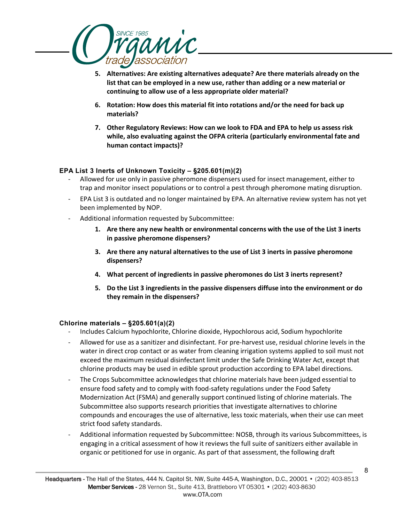

- **5. Alternatives: Are existing alternatives adequate? Are there materials already on the list that can be employed in a new use, rather than adding or a new material or continuing to allow use of a less appropriate older material?**
- **6. Rotation: How does this material fit into rotations and/or the need for back up materials?**
- **7. Other Regulatory Reviews: How can we look to FDA and EPA to help us assess risk while, also evaluating against the OFPA criteria (particularly environmental fate and human contact impacts)?**

#### **EPA List 3 Inerts of Unknown Toxicity – §205.601(m)(2)**

- Allowed for use only in passive pheromone dispensers used for insect management, either to trap and monitor insect populations or to control a pest through pheromone mating disruption.
- EPA List 3 is outdated and no longer maintained by EPA. An alternative review system has not yet been implemented by NOP.
- Additional information requested by Subcommittee:
	- **1. Are there any new health or environmental concerns with the use of the List 3 inerts in passive pheromone dispensers?**
	- **3. Are there any natural alternatives to the use of List 3 inerts in passive pheromone dispensers?**
	- **4. What percent of ingredients in passive pheromones do List 3 inerts represent?**
	- **5. Do the List 3 ingredients in the passive dispensers diffuse into the environment or do they remain in the dispensers?**

#### **Chlorine materials – §205.601(a)(2)**

- Includes Calcium hypochlorite, Chlorine dioxide, Hypochlorous acid, Sodium hypochlorite
- Allowed for use as a sanitizer and disinfectant. For pre-harvest use, residual chlorine levels in the water in direct crop contact or as water from cleaning irrigation systems applied to soil must not exceed the maximum residual disinfectant limit under the Safe Drinking Water Act, except that chlorine products may be used in edible sprout production according to EPA label directions.
- The Crops Subcommittee acknowledges that chlorine materials have been judged essential to ensure food safety and to comply with food-safety regulations under the Food Safety Modernization Act (FSMA) and generally support continued listing of chlorine materials. The Subcommittee also supports research priorities that investigate alternatives to chlorine compounds and encourages the use of alternative, less toxic materials, when their use can meet strict food safety standards.
- Additional information requested by Subcommittee: NOSB, through its various Subcommittees, is engaging in a critical assessment of how it reviews the full suite of sanitizers either available in organic or petitioned for use in organic. As part of that assessment, the following draft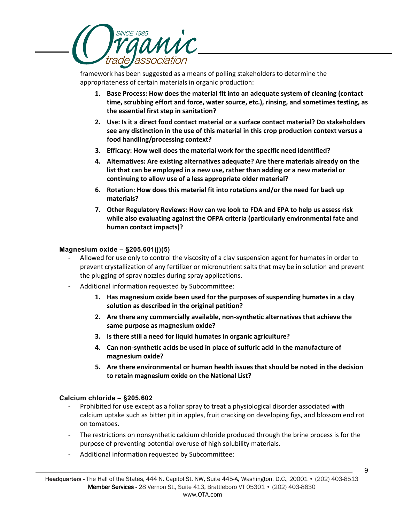

framework has been suggested as a means of polling stakeholders to determine the appropriateness of certain materials in organic production:

- **1. Base Process: How does the material fit into an adequate system of cleaning (contact time, scrubbing effort and force, water source, etc.), rinsing, and sometimes testing, as the essential first step in sanitation?**
- **2. Use: Is it a direct food contact material or a surface contact material? Do stakeholders see any distinction in the use of this material in this crop production context versus a food handling/processing context?**
- **3. Efficacy: How well does the material work for the specific need identified?**
- **4. Alternatives: Are existing alternatives adequate? Are there materials already on the list that can be employed in a new use, rather than adding or a new material or continuing to allow use of a less appropriate older material?**
- **6. Rotation: How does this material fit into rotations and/or the need for back up materials?**
- **7. Other Regulatory Reviews: How can we look to FDA and EPA to help us assess risk while also evaluating against the OFPA criteria (particularly environmental fate and human contact impacts)?**

#### **Magnesium oxide – §205.601(j)(5)**

- Allowed for use only to control the viscosity of a clay suspension agent for humates in order to prevent crystallization of any fertilizer or micronutrient salts that may be in solution and prevent the plugging of spray nozzles during spray applications.
- Additional information requested by Subcommittee:
	- **1. Has magnesium oxide been used for the purposes of suspending humates in a clay solution as described in the original petition?**
	- **2. Are there any commercially available, non-synthetic alternatives that achieve the same purpose as magnesium oxide?**
	- **3. Is there still a need for liquid humates in organic agriculture?**
	- **4. Can non-synthetic acids be used in place of sulfuric acid in the manufacture of magnesium oxide?**
	- **5. Are there environmental or human health issues that should be noted in the decision to retain magnesium oxide on the National List?**

#### **Calcium chloride – §205.602**

- Prohibited for use except as a foliar spray to treat a physiological disorder associated with calcium uptake such as bitter pit in apples, fruit cracking on developing figs, and blossom end rot on tomatoes.
- The restrictions on nonsynthetic calcium chloride produced through the brine process is for the purpose of preventing potential overuse of high solubility materials.
- Additional information requested by Subcommittee: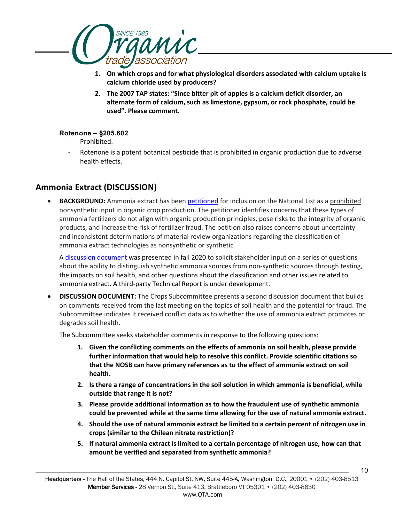

- **1. On which crops and for what physiological disorders associated with calcium uptake is calcium chloride used by producers?**
- **2. The 2007 TAP states: "Since bitter pit of apples is a calcium deficit disorder, an alternate form of calcium, such as limestone, gypsum, or rock phosphate, could be used". Please comment.**

#### **Rotenone – §205.602**

- Prohibited.
- Rotenone is a potent botanical pesticide that is prohibited in organic production due to adverse health effects.

### **Ammonia Extract (DISCUSSION)**

• **BACKGROUND:** Ammonia extract has bee[n petitioned](https://www.ams.usda.gov/sites/default/files/media/Petition_Ammonia_Extract_05222020.pdf) for inclusion on the National List as a prohibited nonsynthetic input in organic crop production. The petitioner identifies concerns that these types of ammonia fertilizers do not align with organic production principles, pose risks to the integrity of organic products, and increase the risk of fertilizer fraud. The petition also raises concerns about uncertainty and inconsistent determinations of material review organizations regarding the classification of ammonia extract technologies as nonsynthetic or synthetic.

A [discussion document](https://www.ams.usda.gov/sites/default/files/media/CSAmmoniaExtract.pdf) was presented in fall 2020 to solicit stakeholder input on a series of questions about the ability to distinguish synthetic ammonia sources from non-synthetic sources through testing, the impacts on soil health, and other questions about the classification and other issues related to ammonia extract. A third-party Technical Report is under development.

• **DISCUSSION DOCUMENT:** The Crops Subcommittee presents a second discussion document that builds on comments received from the last meeting on the topics of soil health and the potential for fraud. The Subcommittee indicates it received conflict data as to whether the use of ammonia extract promotes or degrades soil health.

The Subcommittee seeks stakeholder comments in response to the following questions:

- **1. Given the conflicting comments on the effects of ammonia on soil health, please provide further information that would help to resolve this conflict. Provide scientific citations so that the NOSB can have primary references as to the effect of ammonia extract on soil health.**
- **2. Is there a range of concentrations in the soil solution in which ammonia is beneficial, while outside that range it is not?**
- **3. Please provide additional information as to how the fraudulent use of synthetic ammonia could be prevented while at the same time allowing for the use of natural ammonia extract.**
- **4. Should the use of natural ammonia extract be limited to a certain percent of nitrogen use in crops (similar to the Chilean nitrate restriction)?**
- **5. If natural ammonia extract is limited to a certain percentage of nitrogen use, how can that amount be verified and separated from synthetic ammonia?**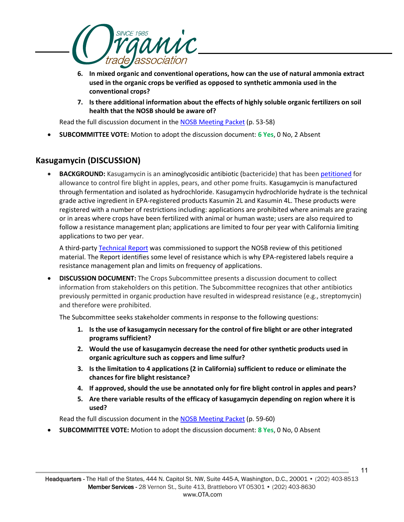

- **6. In mixed organic and conventional operations, how can the use of natural ammonia extract used in the organic crops be verified as opposed to synthetic ammonia used in the conventional crops?**
- **7. Is there additional information about the effects of highly soluble organic fertilizers on soil health that the NOSB should be aware of?**

Read the full discussion document in the [NOSB Meeting Packet](https://www.ams.usda.gov/sites/default/files/media/NOSBProposalPacketApril2021.pdf) (p. 53-58)

• **SUBCOMMITTEE VOTE:** Motion to adopt the discussion document: **6 Yes**, 0 No, 2 Absent

### **Kasugamycin (DISCUSSION)**

• **BACKGROUND:** Kasugamycin is an aminoglycosidic antibiotic (bactericide) that has been [petitioned](https://www.ams.usda.gov/sites/default/files/media/Kasugamycin_Petition.pdf) for allowance to control fire blight in apples, pears, and other pome fruits. Kasugamycin is manufactured through fermentation and isolated as hydrochloride. Kasugamycin hydrochloride hydrate is the technical grade active ingredient in EPA-registered products Kasumin 2L and Kasumin 4L. These products were registered with a number of restrictions including: applications are prohibited where animals are grazing or in areas where crops have been fertilized with animal or human waste; users are also required to follow a resistance management plan; applications are limited to four per year with California limiting applications to two per year.

A third-party [Technical Report](https://www.ams.usda.gov/sites/default/files/media/Kasugamycin_TR.pdf) was commissioned to support the NOSB review of this petitioned material. The Report identifies some level of resistance which is why EPA-registered labels require a resistance management plan and limits on frequency of applications.

• **DISCUSSION DOCUMENT:** The Crops Subcommittee presents a discussion document to collect information from stakeholders on this petition. The Subcommittee recognizes that other antibiotics previously permitted in organic production have resulted in widespread resistance (e.g., streptomycin) and therefore were prohibited.

The Subcommittee seeks stakeholder comments in response to the following questions:

- **1. Is the use of kasugamycin necessary for the control of fire blight or are other integrated programs sufficient?**
- **2. Would the use of kasugamycin decrease the need for other synthetic products used in organic agriculture such as coppers and lime sulfur?**
- **3. Is the limitation to 4 applications (2 in California) sufficient to reduce or eliminate the chances for fire blight resistance?**
- **4. If approved, should the use be annotated only for fire blight control in apples and pears?**
- **5. Are there variable results of the efficacy of kasugamycin depending on region where it is used?**

Read the full discussion document in the [NOSB Meeting Packet](https://www.ams.usda.gov/sites/default/files/media/NOSBProposalPacketApril2021.pdf) (p. 59-60)

• **SUBCOMMITTEE VOTE:** Motion to adopt the discussion document: **8 Yes**, 0 No, 0 Absent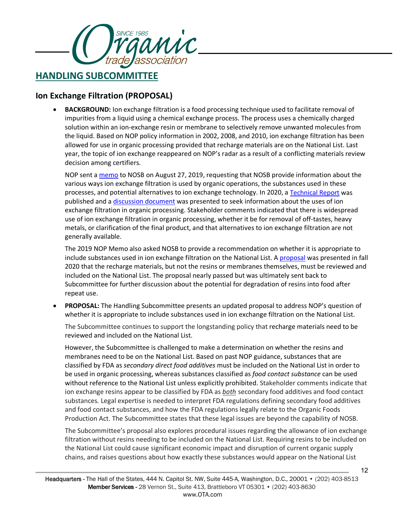

### **Ion Exchange Filtration (PROPOSAL)**

• **BACKGROUND:** Ion exchange filtration is a food processing technique used to facilitate removal of impurities from a liquid using a chemical exchange process. The process uses a chemically charged solution within an ion-exchange resin or membrane to selectively remove unwanted molecules from the liquid. Based on NOP policy information in 2002, 2008, and 2010, ion exchange filtration has been allowed for use in organic processing provided that recharge materials are on the National List. Last year, the topic of ion exchange reappeared on NOP's radar as a result of a conflicting materials review decision among certifiers.

NOP sent a [memo](https://www.ams.usda.gov/sites/default/files/media/NOPNOSBIonExchangeJT.pdf) to NOSB on August 27, 2019, requesting that NOSB provide information about the various ways ion exchange filtration is used by organic operations, the substances used in these processes, and potential alternatives to ion exchange technology. In 2020, a [Technical Report](https://www.ams.usda.gov/sites/default/files/media/IonExchangeFiltrationTechnicalReport2020.pdf) was published and a [discussion document](https://www.ams.usda.gov/sites/default/files/media/HSIonExchangeDDApril2020.pdf) was presented to seek information about the uses of ion exchange filtration in organic processing. Stakeholder comments indicated that there is widespread use of ion exchange filtration in organic processing, whether it be for removal of off-tastes, heavy metals, or clarification of the final product, and that alternatives to ion exchange filtration are not generally available.

The 2019 NOP Memo also asked NOSB to provide a recommendation on whether it is appropriate to include substances used in ion exchange filtration on the National List. A [proposal](https://www.ams.usda.gov/sites/default/files/media/HSIonExchangeFiltration.pdf) was presented in fall 2020 that the recharge materials, but not the resins or membranes themselves, must be reviewed and included on the National List. The proposal nearly passed but was ultimately sent back to Subcommittee for further discussion about the potential for degradation of resins into food after repeat use.

• **PROPOSAL:** The Handling Subcommittee presents an updated proposal to address NOP's question of whether it is appropriate to include substances used in ion exchange filtration on the National List.

The Subcommittee continues to support the longstanding policy that recharge materials need to be reviewed and included on the National List.

However, the Subcommittee is challenged to make a determination on whether the resins and membranes need to be on the National List. Based on past NOP guidance, substances that are classified by FDA as *secondary direct food additives* must be included on the National List in order to be used in organic processing, whereas substances classified as *food contact substance* can be used without reference to the National List unless explicitly prohibited. Stakeholder comments indicate that ion exchange resins appear to be classified by FDA as *both* secondary food additives and food contact substances*.* Legal expertise is needed to interpret FDA regulations defining secondary food additives and food contact substances, and how the FDA regulations legally relate to the Organic Foods Production Act. The Subcommittee states that these legal issues are beyond the capability of NOSB.

The Subcommittee's proposal also explores procedural issues regarding the allowance of ion exchange filtration without resins needing to be included on the National List. Requiring resins to be included on the National List could cause significant economic impact and disruption of current organic supply chains, and raises questions about how exactly these substances would appear on the National List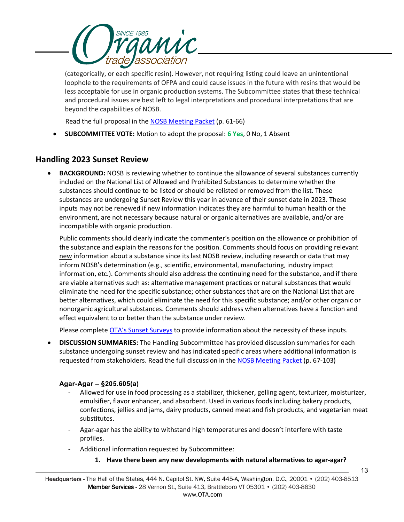

(categorically, or each specific resin). However, not requiring listing could leave an unintentional loophole to the requirements of OFPA and could cause issues in the future with resins that would be less acceptable for use in organic production systems. The Subcommittee states that these technical and procedural issues are best left to legal interpretations and procedural interpretations that are beyond the capabilities of NOSB.

Read the full proposal in the [NOSB Meeting Packet](https://www.ams.usda.gov/sites/default/files/media/NOSBProposalPacketApril2021.pdf) (p. 61-66)

• **SUBCOMMITTEE VOTE:** Motion to adopt the proposal: **6 Yes**, 0 No, 1 Absent

### **Handling 2023 Sunset Review**

• **BACKGROUND:** NOSB is reviewing whether to continue the allowance of several substances currently included on the National List of Allowed and Prohibited Substances to determine whether the substances should continue to be listed or should be relisted or removed from the list. These substances are undergoing Sunset Review this year in advance of their sunset date in 2023. These inputs may not be renewed if new information indicates they are harmful to human health or the environment, are not necessary because natural or organic alternatives are available, and/or are incompatible with organic production.

Public comments should clearly indicate the commenter's position on the allowance or prohibition of the substance and explain the reasons for the position. Comments should focus on providing relevant new information about a substance since its last NOSB review, including research or data that may inform NOSB's determination (e.g., scientific, environmental, manufacturing, industry impact information, etc.). Comments should also address the continuing need for the substance, and if there are viable alternatives such as: alternative management practices or natural substances that would eliminate the need for the specific substance; other substances that are on the National List that are better alternatives, which could eliminate the need for this specific substance; and/or other organic or nonorganic agricultural substances. Comments should address when alternatives have a function and effect equivalent to or better than the substance under review.

Please complete [OTA's Sunset Surveys](https://ota.com/advocacy/organic-standards/national-organic-standards-board/nosb-spring-2021-meeting) to provide information about the necessity of these inputs.

• **DISCUSSION SUMMARIES:** The Handling Subcommittee has provided discussion summaries for each substance undergoing sunset review and has indicated specific areas where additional information is requested from stakeholders. Read the full discussion in the [NOSB Meeting Packet](https://www.ams.usda.gov/sites/default/files/media/NOSBProposalPacketApril2021.pdf) (p. 67-103)

#### **Agar-Agar – §205.605(a)**

- Allowed for use in food processing as a stabilizer, thickener, gelling agent, texturizer, moisturizer, emulsifier, flavor enhancer, and absorbent. Used in various foods including bakery products, confections, jellies and jams, dairy products, canned meat and fish products, and vegetarian meat substitutes.
- Agar-agar has the ability to withstand high temperatures and doesn't interfere with taste profiles.
- Additional information requested by Subcommittee:
	- **1. Have there been any new developments with natural alternatives to agar-agar?**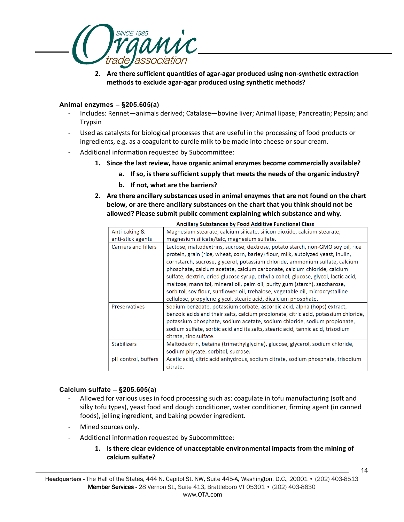

**2. Are there sufficient quantities of agar-agar produced using non-synthetic extraction methods to exclude agar-agar produced using synthetic methods?** 

#### **Animal enzymes – §205.605(a)**

- Includes: Rennet—animals derived; Catalase—bovine liver; Animal lipase; Pancreatin; Pepsin; and Trypsin
- Used as catalysts for biological processes that are useful in the processing of food products or ingredients, e.g. as a coagulant to curdle milk to be made into cheese or sour cream.
- Additional information requested by Subcommittee:
	- **1. Since the last review, have organic animal enzymes become commercially available?** 
		- **a. If so, is there sufficient supply that meets the needs of the organic industry?**
		- **b. If not, what are the barriers?**
	- **2. Are there ancillary substances used in animal enzymes that are not found on the chart below, or are there ancillary substances on the chart that you think should not be allowed? Please submit public comment explaining which substance and why.**

| Ancillary Substances by Food Additive Functional Class |                                                                                                                                                                                                                                                                                                                                                                                                                                                                                                                                                                                                                                                           |
|--------------------------------------------------------|-----------------------------------------------------------------------------------------------------------------------------------------------------------------------------------------------------------------------------------------------------------------------------------------------------------------------------------------------------------------------------------------------------------------------------------------------------------------------------------------------------------------------------------------------------------------------------------------------------------------------------------------------------------|
| Anti-caking &                                          | Magnesium stearate, calcium silicate, silicon dioxide, calcium stearate,                                                                                                                                                                                                                                                                                                                                                                                                                                                                                                                                                                                  |
| anti-stick agents                                      | magnesium silicate/talc, magnesium sulfate.                                                                                                                                                                                                                                                                                                                                                                                                                                                                                                                                                                                                               |
| Carriers and fillers                                   | Lactose, maltodextrins, sucrose, dextrose, potato starch, non-GMO soy oil, rice<br>protein, grain (rice, wheat, corn, barley) flour, milk, autolyzed yeast, inulin,<br>cornstarch, sucrose, glycerol, potassium chloride, ammonium sulfate, calcium<br>phosphate, calcium acetate, calcium carbonate, calcium chloride, calcium<br>sulfate, dextrin, dried glucose syrup, ethyl alcohol, glucose, glycol, lactic acid,<br>maltose, mannitol, mineral oil, palm oil, purity gum (starch), saccharose,<br>sorbitol, soy flour, sunflower oil, trehalose, vegetable oil, microcrystalline<br>cellulose, propylene glycol, stearic acid, dicalcium phosphate. |
| Preservatives                                          | Sodium benzoate, potassium sorbate, ascorbic acid, alpha (hops) extract,<br>benzoic acids and their salts, calcium propionate, citric acid, potassium chloride,<br>potassium phosphate, sodium acetate, sodium chloride, sodium propionate,<br>sodium sulfate, sorbic acid and its salts, stearic acid, tannic acid, trisodium<br>citrate, zinc sulfate.                                                                                                                                                                                                                                                                                                  |
| <b>Stabilizers</b>                                     | Maltodextrin, betaine (trimethylglycine), glucose, glycerol, sodium chloride,<br>sodium phytate, sorbitol, sucrose.                                                                                                                                                                                                                                                                                                                                                                                                                                                                                                                                       |
| pH control, buffers                                    | Acetic acid, citric acid anhydrous, sodium citrate, sodium phosphate, trisodium<br>citrate.                                                                                                                                                                                                                                                                                                                                                                                                                                                                                                                                                               |

#### $\mathbb{R}^2$  and . .<br>. . . . . . . . . . . .<br>De las Francia Antolínica Fra

#### **Calcium sulfate – §205.605(a)**

- Allowed for various uses in food processing such as: coagulate in tofu manufacturing (soft and silky tofu types), yeast food and dough conditioner, water conditioner, firming agent (in canned foods), jelling ingredient, and baking powder ingredient.
- Mined sources only.
- Additional information requested by Subcommittee:
	- **1. Is there clear evidence of unacceptable environmental impacts from the mining of calcium sulfate?**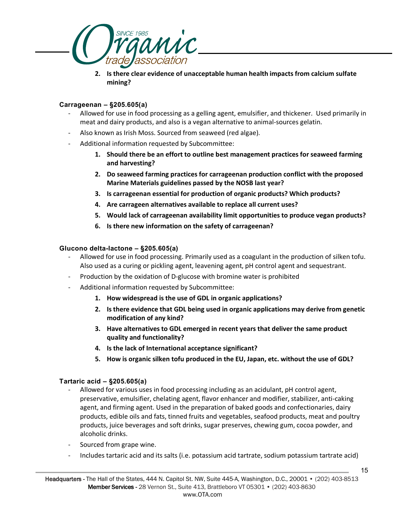

**2. Is there clear evidence of unacceptable human health impacts from calcium sulfate mining?** 

#### **Carrageenan – §205.605(a)**

- Allowed for use in food processing as a gelling agent, emulsifier, and thickener. Used primarily in meat and dairy products, and also is a vegan alternative to animal-sources gelatin.
- Also known as Irish Moss. Sourced from seaweed (red algae).
- Additional information requested by Subcommittee:
	- **1. Should there be an effort to outline best management practices for seaweed farming and harvesting?**
	- **2. Do seaweed farming practices for carrageenan production conflict with the proposed Marine Materials guidelines passed by the NOSB last year?**
	- **3. Is carrageenan essential for production of organic products? Which products?**
	- **4. Are carrageen alternatives available to replace all current uses?**
	- **5. Would lack of carrageenan availability limit opportunities to produce vegan products?**
	- **6. Is there new information on the safety of carrageenan?**

#### **Glucono delta-lactone – §205.605(a)**

- Allowed for use in food processing. Primarily used as a coagulant in the production of silken tofu. Also used as a curing or pickling agent, leavening agent, pH control agent and sequestrant.
- Production by the oxidation of D-glucose with bromine water is prohibited
- Additional information requested by Subcommittee:
	- **1. How widespread is the use of GDL in organic applications?**
	- **2. Is there evidence that GDL being used in organic applications may derive from genetic modification of any kind?**
	- **3. Have alternatives to GDL emerged in recent years that deliver the same product quality and functionality?**
	- **4. Is the lack of International acceptance significant?**
	- **5. How is organic silken tofu produced in the EU, Japan, etc. without the use of GDL?**

#### **Tartaric acid – §205.605(a)**

- Allowed for various uses in food processing including as an acidulant, pH control agent, preservative, emulsifier, chelating agent, flavor enhancer and modifier, stabilizer, anti-caking agent, and firming agent. Used in the preparation of baked goods and confectionaries, dairy products, edible oils and fats, tinned fruits and vegetables, seafood products, meat and poultry products, juice beverages and soft drinks, sugar preserves, chewing gum, cocoa powder, and alcoholic drinks.
- Sourced from grape wine.
- Includes tartaric acid and its salts (i.e. potassium acid tartrate, sodium potassium tartrate acid)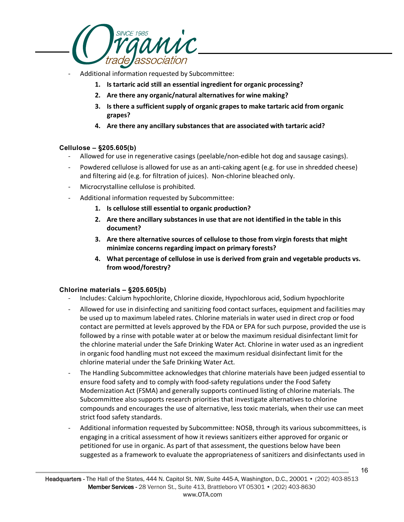

- Additional information requested by Subcommittee:
	- **1. Is tartaric acid still an essential ingredient for organic processing?**
	- **2. Are there any organic/natural alternatives for wine making?**
	- **3. Is there a sufficient supply of organic grapes to make tartaric acid from organic grapes?**
	- **4. Are there any ancillary substances that are associated with tartaric acid?**

#### **Cellulose – §205.605(b)**

- Allowed for use in regenerative casings (peelable/non-edible hot dog and sausage casings).
- Powdered cellulose is allowed for use as an anti-caking agent (e.g. for use in shredded cheese) and filtering aid (e.g. for filtration of juices). Non-chlorine bleached only.
- Microcrystalline cellulose is prohibited.
- Additional information requested by Subcommittee:
	- **1. Is cellulose still essential to organic production?**
	- **2. Are there ancillary substances in use that are not identified in the table in this document?**
	- **3. Are there alternative sources of cellulose to those from virgin forests that might minimize concerns regarding impact on primary forests?**
	- **4. What percentage of cellulose in use is derived from grain and vegetable products vs. from wood/forestry?**

#### **Chlorine materials – §205.605(b)**

- Includes: Calcium hypochlorite, Chlorine dioxide, Hypochlorous acid, Sodium hypochlorite
- Allowed for use in disinfecting and sanitizing food contact surfaces, equipment and facilities may be used up to maximum labeled rates. Chlorine materials in water used in direct crop or food contact are permitted at levels approved by the FDA or EPA for such purpose, provided the use is followed by a rinse with potable water at or below the maximum residual disinfectant limit for the chlorine material under the Safe Drinking Water Act. Chlorine in water used as an ingredient in organic food handling must not exceed the maximum residual disinfectant limit for the chlorine material under the Safe Drinking Water Act.
- The Handling Subcommittee acknowledges that chlorine materials have been judged essential to ensure food safety and to comply with food-safety regulations under the Food Safety Modernization Act (FSMA) and generally supports continued listing of chlorine materials. The Subcommittee also supports research priorities that investigate alternatives to chlorine compounds and encourages the use of alternative, less toxic materials, when their use can meet strict food safety standards.
- Additional information requested by Subcommittee: NOSB, through its various subcommittees, is engaging in a critical assessment of how it reviews sanitizers either approved for organic or petitioned for use in organic. As part of that assessment, the questions below have been suggested as a framework to evaluate the appropriateness of sanitizers and disinfectants used in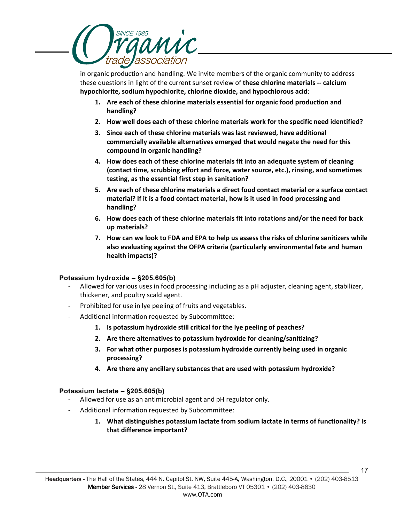

in organic production and handling. We invite members of the organic community to address these questions in light of the current sunset review of **these chlorine materials -- calcium hypochlorite, sodium hypochlorite, chlorine dioxide, and hypochlorous acid**:

- **1. Are each of these chlorine materials essential for organic food production and handling?**
- **2. How well does each of these chlorine materials work for the specific need identified?**
- **3. Since each of these chlorine materials was last reviewed, have additional commercially available alternatives emerged that would negate the need for this compound in organic handling?**
- **4. How does each of these chlorine materials fit into an adequate system of cleaning (contact time, scrubbing effort and force, water source, etc.), rinsing, and sometimes testing, as the essential first step in sanitation?**
- **5. Are each of these chlorine materials a direct food contact material or a surface contact material? If it is a food contact material, how is it used in food processing and handling?**
- **6. How does each of these chlorine materials fit into rotations and/or the need for back up materials?**
- **7. How can we look to FDA and EPA to help us assess the risks of chlorine sanitizers while also evaluating against the OFPA criteria (particularly environmental fate and human health impacts)?**

#### **Potassium hydroxide – §205.605(b)**

- Allowed for various uses in food processing including as a pH adjuster, cleaning agent, stabilizer, thickener, and poultry scald agent.
- Prohibited for use in lye peeling of fruits and vegetables.
- Additional information requested by Subcommittee:
	- **1. Is potassium hydroxide still critical for the lye peeling of peaches?**
	- **2. Are there alternatives to potassium hydroxide for cleaning/sanitizing?**
	- **3. For what other purposes is potassium hydroxide currently being used in organic processing?**
	- **4. Are there any ancillary substances that are used with potassium hydroxide?**

### **Potassium lactate – §205.605(b)**

- Allowed for use as an antimicrobial agent and pH regulator only.
- Additional information requested by Subcommittee:
	- **1. What distinguishes potassium lactate from sodium lactate in terms of functionality? Is that difference important?**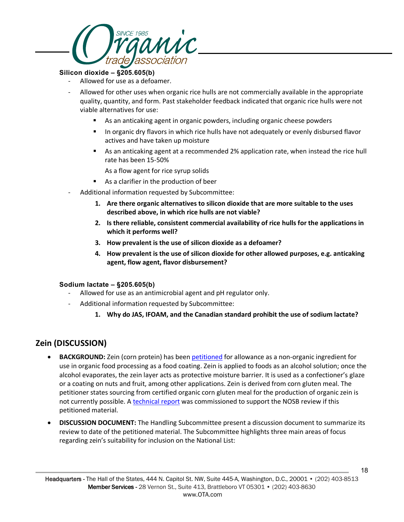

#### **Silicon dioxide – §205.605(b)**

- Allowed for use as a defoamer.
- Allowed for other uses when organic rice hulls are not commercially available in the appropriate quality, quantity, and form. Past stakeholder feedback indicated that organic rice hulls were not viable alternatives for use:
	- As an anticaking agent in organic powders, including organic cheese powders
	- In organic dry flavors in which rice hulls have not adequately or evenly disbursed flavor actives and have taken up moisture
	- **As an anticaking agent at a recommended 2% application rate, when instead the rice hull** rate has been 15-50%

As a flow agent for rice syrup solids

- As a clarifier in the production of beer
- Additional information requested by Subcommittee:
	- **1. Are there organic alternatives to silicon dioxide that are more suitable to the uses described above, in which rice hulls are not viable?**
	- **2. Is there reliable, consistent commercial availability of rice hulls for the applications in which it performs well?**
	- **3. How prevalent is the use of silicon dioxide as a defoamer?**
	- **4. How prevalent is the use of silicon dioxide for other allowed purposes, e.g. anticaking agent, flow agent, flavor disbursement?**

#### **Sodium lactate – §205.605(b)**

- Allowed for use as an antimicrobial agent and pH regulator only.
- Additional information requested by Subcommittee:
	- **1. Why do JAS, IFOAM, and the Canadian standard prohibit the use of sodium lactate?**

### **Zein (DISCUSSION)**

- **BACKGROUND:** Zein (corn protein) has been [petitioned](https://www.ams.usda.gov/sites/default/files/media/Zein_Petition_2192020.pdf) for allowance as a non-organic ingredient for use in organic food processing as a food coating. Zein is applied to foods as an alcohol solution; once the alcohol evaporates, the zein layer acts as protective moisture barrier. It is used as a confectioner's glaze or a coating on nuts and fruit, among other applications. Zein is derived from corn gluten meal. The petitioner states sourcing from certified organic corn gluten meal for the production of organic zein is not currently possible. [A technical report](https://www.ams.usda.gov/sites/default/files/media/Zein_TR.pdf) was commissioned to support the NOSB review if this petitioned material.
- **DISCUSSION DOCUMENT:** The Handling Subcommittee present a discussion document to summarize its review to date of the petitioned material. The Subcommittee highlights three main areas of focus regarding zein's suitability for inclusion on the National List: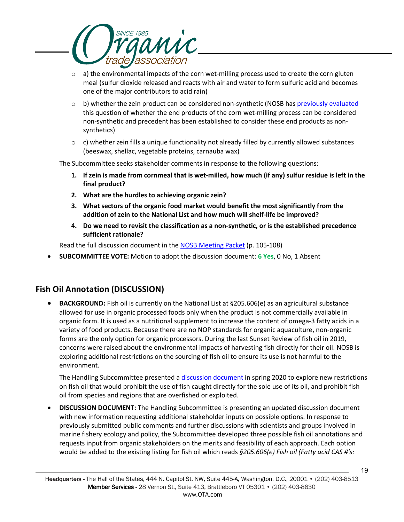

- $\circ$  a) the environmental impacts of the corn wet-milling process used to create the corn gluten meal (sulfur dioxide released and reacts with air and water to form sulfuric acid and becomes one of the major contributors to acid rain)
- $\circ$  b) whether the zein product can be considered non-synthetic (NOSB has [previously evaluated](https://www.ams.usda.gov/sites/default/files/media/Corn%20Steep%20Liquor%20Committee%20Rec%202011.pdf) this question of whether the end products of the corn wet-milling process can be considered non-synthetic and precedent has been established to consider these end products as nonsynthetics)
- $\circ$  c) whether zein fills a unique functionality not already filled by currently allowed substances (beeswax, shellac, vegetable proteins, carnauba wax)

The Subcommittee seeks stakeholder comments in response to the following questions:

- **1. If zein is made from cornmeal that is wet-milled, how much (if any) sulfur residue is left in the final product?**
- **2. What are the hurdles to achieving organic zein?**
- **3. What sectors of the organic food market would benefit the most significantly from the addition of zein to the National List and how much will shelf-life be improved?**
- **4. Do we need to revisit the classification as a non-synthetic, or is the established precedence sufficient rationale?**

Read the full discussion document in the **NOSB Meeting Packet** (p. 105-108)

• **SUBCOMMITTEE VOTE:** Motion to adopt the discussion document: **6 Yes**, 0 No, 1 Absent

### **Fish Oil Annotation (DISCUSSION)**

• **BACKGROUND:** Fish oil is currently on the National List at §205.606(e) as an agricultural substance allowed for use in organic processed foods only when the product is not commercially available in organic form. It is used as a nutritional supplement to increase the content of omega-3 fatty acids in a variety of food products. Because there are no NOP standards for organic aquaculture, non-organic forms are the only option for organic processors. During the last Sunset Review of fish oil in 2019, concerns were raised about the environmental impacts of harvesting fish directly for their oil. NOSB is exploring additional restrictions on the sourcing of fish oil to ensure its use is not harmful to the environment.

The Handling Subcommittee presented a [discussion document](https://www.ams.usda.gov/sites/default/files/media/HSFishOilAnnotationDDApril2020.pdf) in spring 2020 to explore new restrictions on fish oil that would prohibit the use of fish caught directly for the sole use of its oil, and prohibit fish oil from species and regions that are overfished or exploited.

• **DISCUSSION DOCUMENT:** The Handling Subcommittee is presenting an updated discussion document with new information requesting additional stakeholder inputs on possible options. In response to previously submitted public comments and further discussions with scientists and groups involved in marine fishery ecology and policy, the Subcommittee developed three possible fish oil annotations and requests input from organic stakeholders on the merits and feasibility of each approach. Each option would be added to the existing listing for fish oil which reads *§205.606(e) Fish oil (Fatty acid CAS #'s:*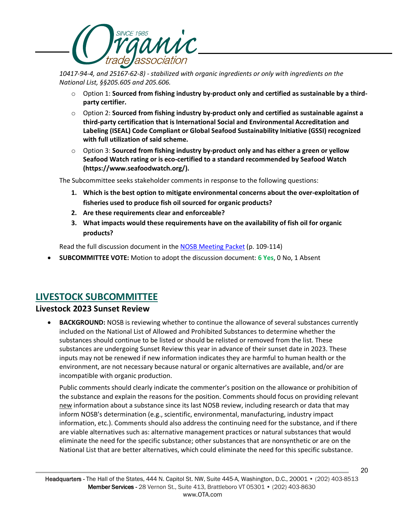

*10417-94-4, and 25167-62-8) - stabilized with organic ingredients or only with ingredients on the National List, §§205.605 and 205.606.*

- o Option 1: **Sourced from fishing industry by-product only and certified as sustainable by a thirdparty certifier.**
- o Option 2: **Sourced from fishing industry by-product only and certified as sustainable against a third-party certification that is International Social and Environmental Accreditation and Labeling (ISEAL) Code Compliant or Global Seafood Sustainability Initiative (GSSI) recognized with full utilization of said scheme.**
- o Option 3: **Sourced from fishing industry by-product only and has either a green or yellow Seafood Watch rating or is eco-certified to a standard recommended by Seafood Watch (https://www.seafoodwatch.org/).**

The Subcommittee seeks stakeholder comments in response to the following questions:

- **1. Which is the best option to mitigate environmental concerns about the over-exploitation of fisheries used to produce fish oil sourced for organic products?**
- **2. Are these requirements clear and enforceable?**
- **3. What impacts would these requirements have on the availability of fish oil for organic products?**

Read the full discussion document in the **NOSB Meeting Packet** (p. 109-114)

• **SUBCOMMITTEE VOTE:** Motion to adopt the discussion document: **6 Yes**, 0 No, 1 Absent

# **LIVESTOCK SUBCOMMITTEE**

### **Livestock 2023 Sunset Review**

• **BACKGROUND:** NOSB is reviewing whether to continue the allowance of several substances currently included on the National List of Allowed and Prohibited Substances to determine whether the substances should continue to be listed or should be relisted or removed from the list. These substances are undergoing Sunset Review this year in advance of their sunset date in 2023. These inputs may not be renewed if new information indicates they are harmful to human health or the environment, are not necessary because natural or organic alternatives are available, and/or are incompatible with organic production.

Public comments should clearly indicate the commenter's position on the allowance or prohibition of the substance and explain the reasons for the position. Comments should focus on providing relevant new information about a substance since its last NOSB review, including research or data that may inform NOSB's determination (e.g., scientific, environmental, manufacturing, industry impact information, etc.). Comments should also address the continuing need for the substance, and if there are viable alternatives such as: alternative management practices or natural substances that would eliminate the need for the specific substance; other substances that are nonsynthetic or are on the National List that are better alternatives, which could eliminate the need for this specific substance.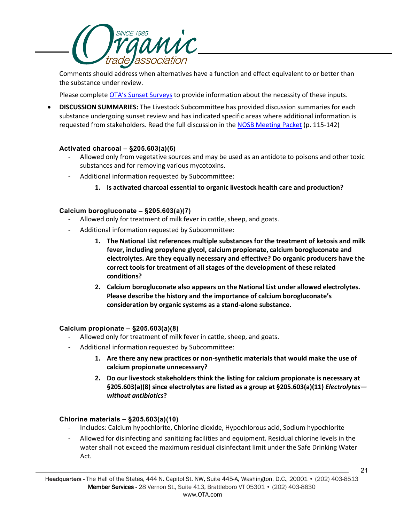

Comments should address when alternatives have a function and effect equivalent to or better than the substance under review.

Please complete [OTA's Sunset Surveys](https://ota.com/advocacy/organic-standards/national-organic-standards-board/nosb-spring-2021-meeting) to provide information about the necessity of these inputs.

• **DISCUSSION SUMMARIES:** The Livestock Subcommittee has provided discussion summaries for each substance undergoing sunset review and has indicated specific areas where additional information is requested from stakeholders. Read the full discussion in the [NOSB Meeting Packet](https://www.ams.usda.gov/sites/default/files/media/NOSBProposalPacketApril2021.pdf) (p. 115-142)

#### **Activated charcoal – §205.603(a)(6)**

- Allowed only from vegetative sources and may be used as an antidote to poisons and other toxic substances and for removing various mycotoxins.
- Additional information requested by Subcommittee:
	- **1. Is activated charcoal essential to organic livestock health care and production?**

#### **Calcium borogluconate – §205.603(a)(7)**

- Allowed only for treatment of milk fever in cattle, sheep, and goats.
- Additional information requested by Subcommittee:
	- **1. The National List references multiple substances for the treatment of ketosis and milk fever, including propylene glycol, calcium propionate, calcium borogluconate and electrolytes. Are they equally necessary and effective? Do organic producers have the correct tools for treatment of all stages of the development of these related conditions?**
	- **2. Calcium borogluconate also appears on the National List under allowed electrolytes. Please describe the history and the importance of calcium borogluconate's consideration by organic systems as a stand-alone substance.**

#### **Calcium propionate – §205.603(a)(8)**

- Allowed only for treatment of milk fever in cattle, sheep, and goats.
- Additional information requested by Subcommittee:
	- **1. Are there any new practices or non-synthetic materials that would make the use of calcium propionate unnecessary?**
	- **2. Do our livestock stakeholders think the listing for calcium propionate is necessary at §205.603(a)(8) since electrolytes are listed as a group at §205.603(a)(11)** *Electrolytes without antibiotics***?**

#### **Chlorine materials – §205.603(a)(10)**

- Includes: Calcium hypochlorite, Chlorine dioxide, Hypochlorous acid, Sodium hypochlorite
- Allowed for disinfecting and sanitizing facilities and equipment. Residual chlorine levels in the water shall not exceed the maximum residual disinfectant limit under the Safe Drinking Water Act.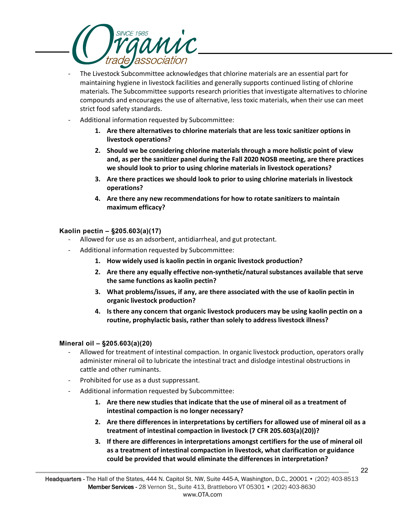

- The Livestock Subcommittee acknowledges that chlorine materials are an essential part for maintaining hygiene in livestock facilities and generally supports continued listing of chlorine materials. The Subcommittee supports research priorities that investigate alternatives to chlorine compounds and encourages the use of alternative, less toxic materials, when their use can meet strict food safety standards.
- Additional information requested by Subcommittee:
	- **1. Are there alternatives to chlorine materials that are less toxic sanitizer options in livestock operations?**
	- **2. Should we be considering chlorine materials through a more holistic point of view and, as per the sanitizer panel during the Fall 2020 NOSB meeting, are there practices we should look to prior to using chlorine materials in livestock operations?**
	- **3. Are there practices we should look to prior to using chlorine materials in livestock operations?**
	- **4. Are there any new recommendations for how to rotate sanitizers to maintain maximum efficacy?**

#### **Kaolin pectin – §205.603(a)(17)**

- Allowed for use as an adsorbent, antidiarrheal, and gut protectant.
- Additional information requested by Subcommittee:
	- **1. How widely used is kaolin pectin in organic livestock production?**
	- **2. Are there any equally effective non-synthetic/natural substances available that serve the same functions as kaolin pectin?**
	- **3. What problems/issues, if any, are there associated with the use of kaolin pectin in organic livestock production?**
	- **4. Is there any concern that organic livestock producers may be using kaolin pectin on a routine, prophylactic basis, rather than solely to address livestock illness?**

#### **Mineral oil – §205.603(a)(20)**

- Allowed for treatment of intestinal compaction. In organic livestock production, operators orally administer mineral oil to lubricate the intestinal tract and dislodge intestinal obstructions in cattle and other ruminants.
- Prohibited for use as a dust suppressant.
- Additional information requested by Subcommittee:
	- **1. Are there new studies that indicate that the use of mineral oil as a treatment of intestinal compaction is no longer necessary?**
	- **2. Are there differences in interpretations by certifiers for allowed use of mineral oil as a treatment of intestinal compaction in livestock (7 CFR 205.603(a)(20))?**
	- **3. If there are differences in interpretations amongst certifiers for the use of mineral oil as a treatment of intestinal compaction in livestock, what clarification or guidance could be provided that would eliminate the differences in interpretation?**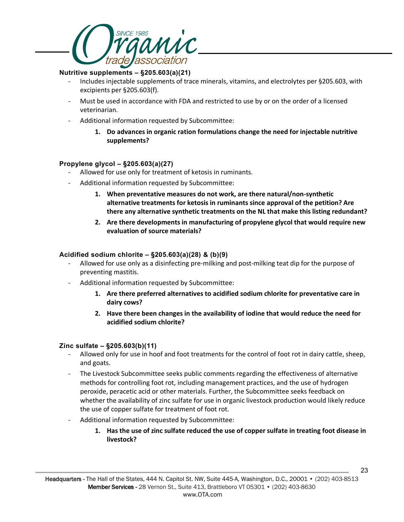

#### **Nutritive supplements – §205.603(a)(21)**

- Includes injectable supplements of trace minerals, vitamins, and electrolytes per §205.603, with excipients per §205.603(f).
- Must be used in accordance with FDA and restricted to use by or on the order of a licensed veterinarian.
- Additional information requested by Subcommittee:
	- **1. Do advances in organic ration formulations change the need for injectable nutritive supplements?**

#### **Propylene glycol – §205.603(a)(27)**

- Allowed for use only for treatment of ketosis in ruminants.
- Additional information requested by Subcommittee:
	- **1. When preventative measures do not work, are there natural/non-synthetic alternative treatments for ketosis in ruminants since approval of the petition? Are there any alternative synthetic treatments on the NL that make this listing redundant?**
	- **2. Are there developments in manufacturing of propylene glycol that would require new evaluation of source materials?**

#### **Acidified sodium chlorite – §205.603(a)(28) & (b)(9)**

- Allowed for use only as a disinfecting pre-milking and post-milking teat dip for the purpose of preventing mastitis.
- Additional information requested by Subcommittee:
	- **1. Are there preferred alternatives to acidified sodium chlorite for preventative care in dairy cows?**
	- **2. Have there been changes in the availability of iodine that would reduce the need for acidified sodium chlorite?**

#### **Zinc sulfate – §205.603(b)(11)**

- Allowed only for use in hoof and foot treatments for the control of foot rot in dairy cattle, sheep, and goats.
- The Livestock Subcommittee seeks public comments regarding the effectiveness of alternative methods for controlling foot rot, including management practices, and the use of hydrogen peroxide, peracetic acid or other materials. Further, the Subcommittee seeks feedback on whether the availability of zinc sulfate for use in organic livestock production would likely reduce the use of copper sulfate for treatment of foot rot.
- Additional information requested by Subcommittee:
	- **1. Has the use of zinc sulfate reduced the use of copper sulfate in treating foot disease in livestock?**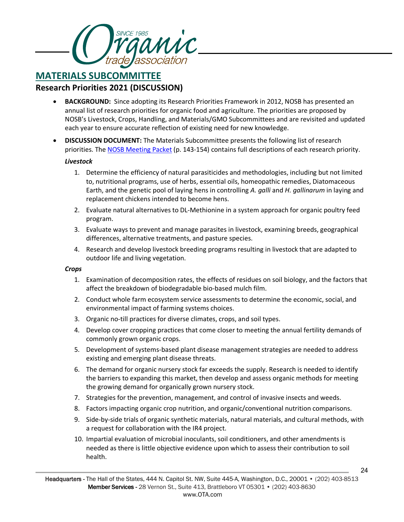

## **MATERIALS SUBCOMMITTEE Research Priorities 2021 (DISCUSSION)**

- **BACKGROUND:** Since adopting its Research Priorities Framework in 2012, NOSB has presented an annual list of research priorities for organic food and agriculture. The priorities are proposed by NOSB's Livestock, Crops, Handling, and Materials/GMO Subcommittees and are revisited and updated each year to ensure accurate reflection of existing need for new knowledge.
- **DISCUSSION DOCUMENT:** The Materials Subcommittee presents the following list of research priorities. The [NOSB Meeting Packet](https://www.ams.usda.gov/sites/default/files/media/NOSBProposalPacketApril2021.pdf) (p. 143-154) contains full descriptions of each research priority.

#### *Livestock*

- 1. Determine the efficiency of natural parasiticides and methodologies, including but not limited to, nutritional programs, use of herbs, essential oils, homeopathic remedies, Diatomaceous Earth, and the genetic pool of laying hens in controlling *A. galli* and *H. gallinarum* in laying and replacement chickens intended to become hens.
- 2. Evaluate natural alternatives to DL-Methionine in a system approach for organic poultry feed program.
- 3. Evaluate ways to prevent and manage parasites in livestock, examining breeds, geographical differences, alternative treatments, and pasture species.
- 4. Research and develop livestock breeding programs resulting in livestock that are adapted to outdoor life and living vegetation.

#### *Crops*

- 1. Examination of decomposition rates, the effects of residues on soil biology, and the factors that affect the breakdown of biodegradable bio-based mulch film.
- 2. Conduct whole farm ecosystem service assessments to determine the economic, social, and environmental impact of farming systems choices.
- 3. Organic no-till practices for diverse climates, crops, and soil types.
- 4. Develop cover cropping practices that come closer to meeting the annual fertility demands of commonly grown organic crops.
- 5. Development of systems-based plant disease management strategies are needed to address existing and emerging plant disease threats.
- 6. The demand for organic nursery stock far exceeds the supply. Research is needed to identify the barriers to expanding this market, then develop and assess organic methods for meeting the growing demand for organically grown nursery stock.
- 7. Strategies for the prevention, management, and control of invasive insects and weeds.
- 8. Factors impacting organic crop nutrition, and organic/conventional nutrition comparisons.
- 9. Side-by-side trials of organic synthetic materials, natural materials, and cultural methods, with a request for collaboration with the IR4 project.
- 10. Impartial evaluation of microbial inoculants, soil conditioners, and other amendments is needed as there is little objective evidence upon which to assess their contribution to soil health.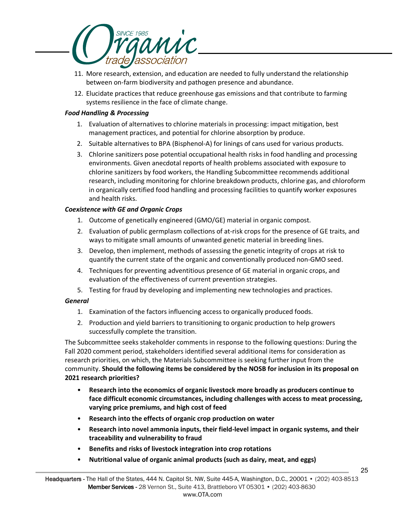

- 11. More research, extension, and education are needed to fully understand the relationship between on-farm biodiversity and pathogen presence and abundance.
- 12. Elucidate practices that reduce greenhouse gas emissions and that contribute to farming systems resilience in the face of climate change.

#### *Food Handling & Processing*

- 1. Evaluation of alternatives to chlorine materials in processing: impact mitigation, best management practices, and potential for chlorine absorption by produce.
- 2. Suitable alternatives to BPA (Bisphenol-A) for linings of cans used for various products.
- 3. Chlorine sanitizers pose potential occupational health risks in food handling and processing environments. Given anecdotal reports of health problems associated with exposure to chlorine sanitizers by food workers, the Handling Subcommittee recommends additional research, including monitoring for chlorine breakdown products, chlorine gas, and chloroform in organically certified food handling and processing facilities to quantify worker exposures and health risks.

#### *Coexistence with GE and Organic Crops*

- 1. Outcome of genetically engineered (GMO/GE) material in organic compost.
- 2. Evaluation of public germplasm collections of at-risk crops for the presence of GE traits, and ways to mitigate small amounts of unwanted genetic material in breeding lines.
- 3. Develop, then implement, methods of assessing the genetic integrity of crops at risk to quantify the current state of the organic and conventionally produced non-GMO seed.
- 4. Techniques for preventing adventitious presence of GE material in organic crops, and evaluation of the effectiveness of current prevention strategies.
- 5. Testing for fraud by developing and implementing new technologies and practices.

### *General*

- 1. Examination of the factors influencing access to organically produced foods.
- 2. Production and yield barriers to transitioning to organic production to help growers successfully complete the transition.

The Subcommittee seeks stakeholder comments in response to the following questions: During the Fall 2020 comment period, stakeholders identified several additional items for consideration as research priorities, on which, the Materials Subcommittee is seeking further input from the community. **Should the following items be considered by the NOSB for inclusion in its proposal on 2021 research priorities?** 

- **Research into the economics of organic livestock more broadly as producers continue to face difficult economic circumstances, including challenges with access to meat processing, varying price premiums, and high cost of feed**
- **Research into the effects of organic crop production on water**
- **Research into novel ammonia inputs, their field-level impact in organic systems, and their traceability and vulnerability to fraud**
- **Benefits and risks of livestock integration into crop rotations**
- **Nutritional value of organic animal products (such as dairy, meat, and eggs)**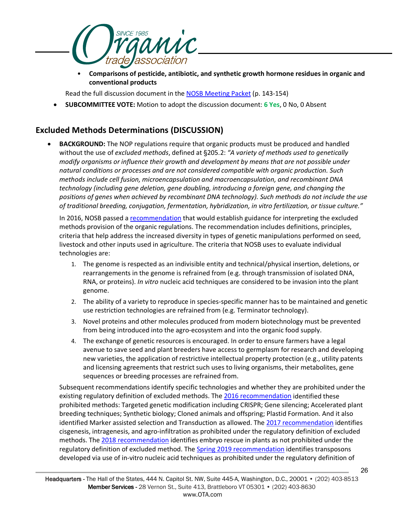

• **Comparisons of pesticide, antibiotic, and synthetic growth hormone residues in organic and conventional products** 

Read the full discussion document in th[e NOSB Meeting Packet](https://www.ams.usda.gov/sites/default/files/media/NOSBProposalPacketApril2021.pdf) (p. 143-154)

• **SUBCOMMITTEE VOTE:** Motion to adopt the discussion document: **6 Yes**, 0 No, 0 Absent

### **Excluded Methods Determinations (DISCUSSION)**

**BACKGROUND:** The NOP regulations require that organic products must be produced and handled without the use of *excluded methods*, defined at §205.2: *"A variety of methods used to genetically modify organisms or influence their growth and development by means that are not possible under natural conditions or processes and are not considered compatible with organic production. Such methods include cell fusion, microencapsulation and macroencapsulation, and recombinant DNA technology (including gene deletion, gene doubling, introducing a foreign gene, and changing the positions of genes when achieved by recombinant DNA technology). Such methods do not include the use of traditional breeding, conjugation, fermentation, hybridization, in vitro fertilization, or tissue culture."*

In 2016, NOSB passed a [recommendation](https://www.ams.usda.gov/sites/default/files/media/MSExcludedMethods.pdf) that would establish guidance for interpreting the excluded methods provision of the organic regulations. The recommendation includes definitions, principles, criteria that help address the increased diversity in types of genetic manipulations performed on seed, livestock and other inputs used in agriculture. The criteria that NOSB uses to evaluate individual technologies are:

- 1. The genome is respected as an indivisible entity and technical/physical insertion, deletions, or rearrangements in the genome is refrained from (e.g. through transmission of isolated DNA, RNA, or proteins). *In vitro* nucleic acid techniques are considered to be invasion into the plant genome.
- 2. The ability of a variety to reproduce in species-specific manner has to be maintained and genetic use restriction technologies are refrained from (e.g. Terminator technology).
- 3. Novel proteins and other molecules produced from modern biotechnology must be prevented from being introduced into the agro-ecosystem and into the organic food supply.
- 4. The exchange of genetic resources is encouraged. In order to ensure farmers have a legal avenue to save seed and plant breeders have access to germplasm for research and developing new varieties, the application of restrictive intellectual property protection (e.g., utility patents and licensing agreements that restrict such uses to living organisms, their metabolites, gene sequences or breeding processes are refrained from.

Subsequent recommendations identify specific technologies and whether they are prohibited under the existing regulatory definition of excluded methods. The [2016 recommendation](https://www.ams.usda.gov/sites/default/files/media/MSExcludedMethods.pdf) identified these prohibited methods: Targeted genetic modification including CRISPR; Gene silencing; Accelerated plant breeding techniques; Synthetic biology; Cloned animals and offspring; Plastid Formation. And it also identified Marker assisted selection and Transduction as allowed. The 2017 recommendation identifies cisgenesis, intragenesis, and agro-infiltration as prohibited under the regulatory definition of excluded methods. The [2018 recommendation](https://www.ams.usda.gov/sites/default/files/media/MSExcludedMethodsRecOct2018.pdf) identifies embryo rescue in plants as not prohibited under the regulatory definition of excluded method. The [Spring 2019 recommendation](https://www.ams.usda.gov/sites/default/files/media/MSExcludedMethodsApr2019FinalRec.pdf) identifies transposons developed via use of in-vitro nucleic acid techniques as prohibited under the regulatory definition of